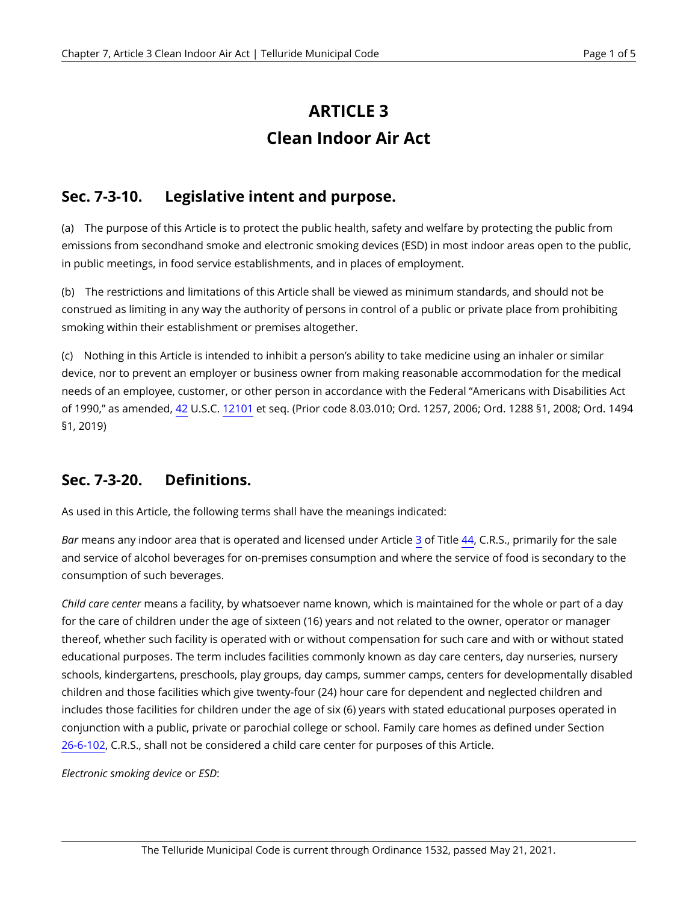# **ARTICLE 3 Clean Indoor Air Act**

# **Sec. 7-3-10. Legislative intent and purpose.**

(a) The purpose of this Article is to protect the public health, safety and welfare by protecting the public from emissions from secondhand smoke and electronic smoking devices (ESD) in most indoor areas open to the public, in public meetings, in food service establishments, and in places of employment.

(b) The restrictions and limitations of this Article shall be viewed as minimum standards, and should not be construed as limiting in any way the authority of persons in control of a public or private place from prohibiting smoking within their establishment or premises altogether.

(c) Nothing in this Article is intended to inhibit a person's ability to take medicine using an inhaler or similar device, nor to prevent an employer or business owner from making reasonable accommodation for the medical needs of an employee, customer, or other person in accordance with the Federal "Americans with Disabilities Act of 1990," as amended, [42](https://telluride.municipal.codes/US/USC/42) U.S.C. [12101](https://telluride.municipal.codes/US/USC/42/12101) et seq. (Prior code 8.03.010; Ord. 1257, 2006; Ord. 1288 §1, 2008; Ord. 1494 §1, 2019)

#### <span id="page-0-0"></span>**Sec. 7-3-20. Definitions.**

As used in this Article, the following terms shall have the meanings indicated:

*Bar* means any indoor area that is operated and licensed under Article [3](https://telluride.municipal.codes/CO/CRS/44-3) of Title [44,](https://telluride.municipal.codes/CO/CRS/44) C.R.S., primarily for the sale and service of alcohol beverages for on-premises consumption and where the service of food is secondary to the consumption of such beverages.

*Child care center* means a facility, by whatsoever name known, which is maintained for the whole or part of a day for the care of children under the age of sixteen (16) years and not related to the owner, operator or manager thereof, whether such facility is operated with or without compensation for such care and with or without stated educational purposes. The term includes facilities commonly known as day care centers, day nurseries, nursery schools, kindergartens, preschools, play groups, day camps, summer camps, centers for developmentally disabled children and those facilities which give twenty-four (24) hour care for dependent and neglected children and includes those facilities for children under the age of six (6) years with stated educational purposes operated in conjunction with a public, private or parochial college or school. Family care homes as defined under Section [26-6-102,](https://telluride.municipal.codes/CO/CRS/26-6-102) C.R.S., shall not be considered a child care center for purposes of this Article.

*Electronic smoking device* or *ESD*: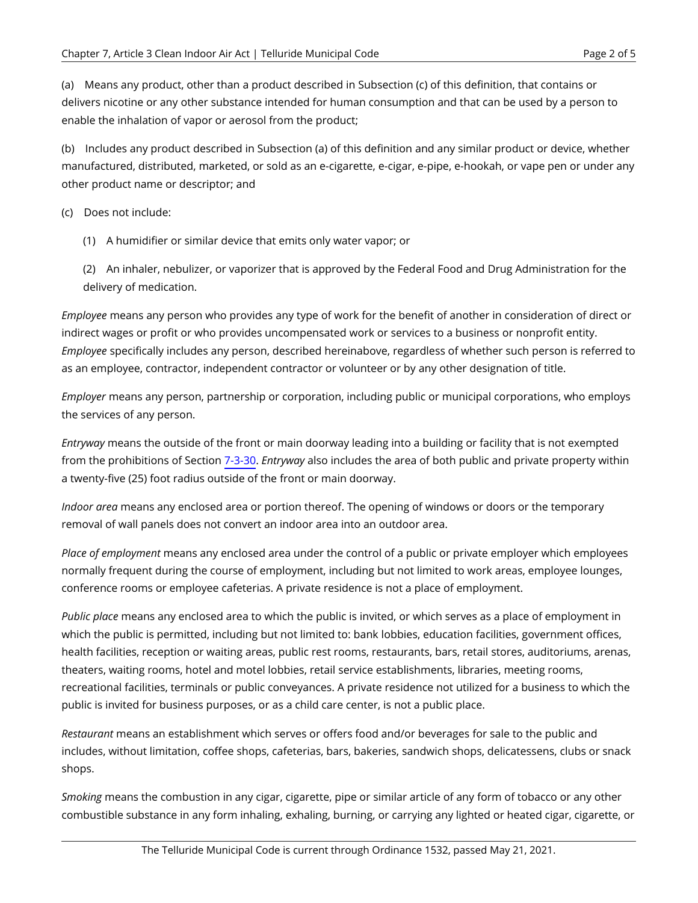(a) Means any product, other than a product described in Subsection (c) of this definition, that contains or delivers nicotine or any other substance intended for human consumption and that can be used by a person to enable the inhalation of vapor or aerosol from the product;

(b) Includes any product described in Subsection (a) of this definition and any similar product or device, whether manufactured, distributed, marketed, or sold as an e-cigarette, e-cigar, e-pipe, e-hookah, or vape pen or under any other product name or descriptor; and

(c) Does not include:

(1) A humidifier or similar device that emits only water vapor; or

(2) An inhaler, nebulizer, or vaporizer that is approved by the Federal Food and Drug Administration for the delivery of medication.

*Employee* means any person who provides any type of work for the benefit of another in consideration of direct or indirect wages or profit or who provides uncompensated work or services to a business or nonprofit entity. *Employee* specifically includes any person, described hereinabove, regardless of whether such person is referred to as an employee, contractor, independent contractor or volunteer or by any other designation of title.

*Employer* means any person, partnership or corporation, including public or municipal corporations, who employs the services of any person.

*Entryway* means the outside of the front or main doorway leading into a building or facility that is not exempted from the prohibitions of Section [7-3-30.](#page-2-0) *Entryway* also includes the area of both public and private property within a twenty-five (25) foot radius outside of the front or main doorway.

*Indoor area* means any enclosed area or portion thereof. The opening of windows or doors or the temporary removal of wall panels does not convert an indoor area into an outdoor area.

*Place of employment* means any enclosed area under the control of a public or private employer which employees normally frequent during the course of employment, including but not limited to work areas, employee lounges, conference rooms or employee cafeterias. A private residence is not a place of employment.

*Public place* means any enclosed area to which the public is invited, or which serves as a place of employment in which the public is permitted, including but not limited to: bank lobbies, education facilities, government offices, health facilities, reception or waiting areas, public rest rooms, restaurants, bars, retail stores, auditoriums, arenas, theaters, waiting rooms, hotel and motel lobbies, retail service establishments, libraries, meeting rooms, recreational facilities, terminals or public conveyances. A private residence not utilized for a business to which the public is invited for business purposes, or as a child care center, is not a public place.

*Restaurant* means an establishment which serves or offers food and/or beverages for sale to the public and includes, without limitation, coffee shops, cafeterias, bars, bakeries, sandwich shops, delicatessens, clubs or snack shops.

*Smoking* means the combustion in any cigar, cigarette, pipe or similar article of any form of tobacco or any other combustible substance in any form inhaling, exhaling, burning, or carrying any lighted or heated cigar, cigarette, or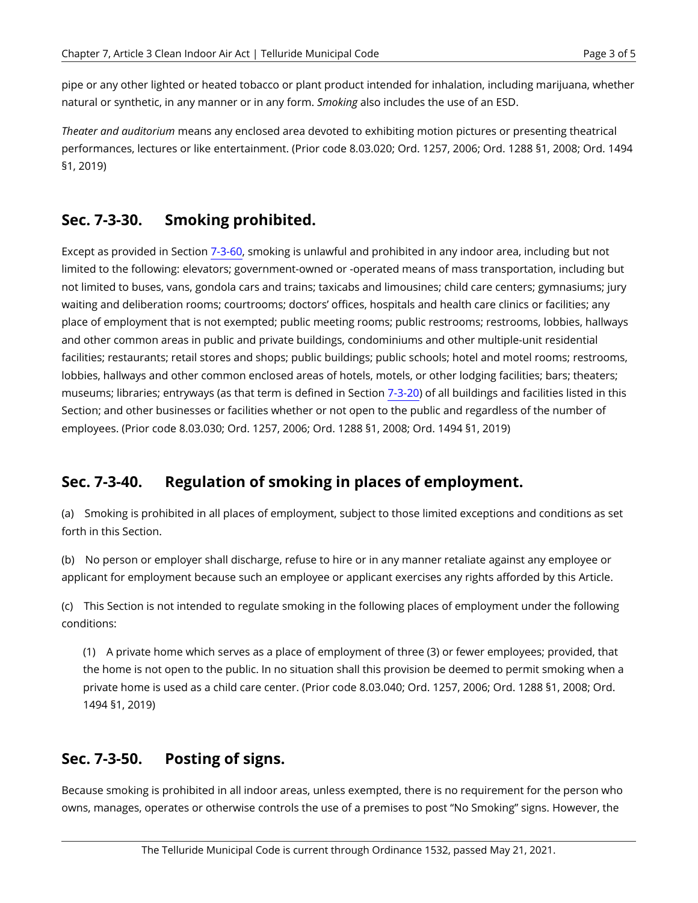pipe or any other lighted or heated tobacco or plant product intended for inhalation, including marijuana, whether natural or synthetic, in any manner or in any form. *Smoking* also includes the use of an ESD.

*Theater and auditorium* means any enclosed area devoted to exhibiting motion pictures or presenting theatrical performances, lectures or like entertainment. (Prior code 8.03.020; Ord. 1257, 2006; Ord. 1288 §1, 2008; Ord. 1494 §1, 2019)

## <span id="page-2-0"></span>**Sec. 7-3-30. Smoking prohibited.**

Except as provided in Section [7-3-60,](#page-3-0) smoking is unlawful and prohibited in any indoor area, including but not limited to the following: elevators; government-owned or -operated means of mass transportation, including but not limited to buses, vans, gondola cars and trains; taxicabs and limousines; child care centers; gymnasiums; jury waiting and deliberation rooms; courtrooms; doctors' offices, hospitals and health care clinics or facilities; any place of employment that is not exempted; public meeting rooms; public restrooms; restrooms, lobbies, hallways and other common areas in public and private buildings, condominiums and other multiple-unit residential facilities; restaurants; retail stores and shops; public buildings; public schools; hotel and motel rooms; restrooms, lobbies, hallways and other common enclosed areas of hotels, motels, or other lodging facilities; bars; theaters; museums; libraries; entryways (as that term is defined in Section [7-3-20\)](#page-0-0) of all buildings and facilities listed in this Section; and other businesses or facilities whether or not open to the public and regardless of the number of employees. (Prior code 8.03.030; Ord. 1257, 2006; Ord. 1288 §1, 2008; Ord. 1494 §1, 2019)

# **Sec. 7-3-40. Regulation of smoking in places of employment.**

(a) Smoking is prohibited in all places of employment, subject to those limited exceptions and conditions as set forth in this Section.

(b) No person or employer shall discharge, refuse to hire or in any manner retaliate against any employee or applicant for employment because such an employee or applicant exercises any rights afforded by this Article.

(c) This Section is not intended to regulate smoking in the following places of employment under the following conditions:

(1) A private home which serves as a place of employment of three (3) or fewer employees; provided, that the home is not open to the public. In no situation shall this provision be deemed to permit smoking when a private home is used as a child care center. (Prior code 8.03.040; Ord. 1257, 2006; Ord. 1288 §1, 2008; Ord. 1494 §1, 2019)

#### **Sec. 7-3-50. Posting of signs.**

Because smoking is prohibited in all indoor areas, unless exempted, there is no requirement for the person who owns, manages, operates or otherwise controls the use of a premises to post "No Smoking" signs. However, the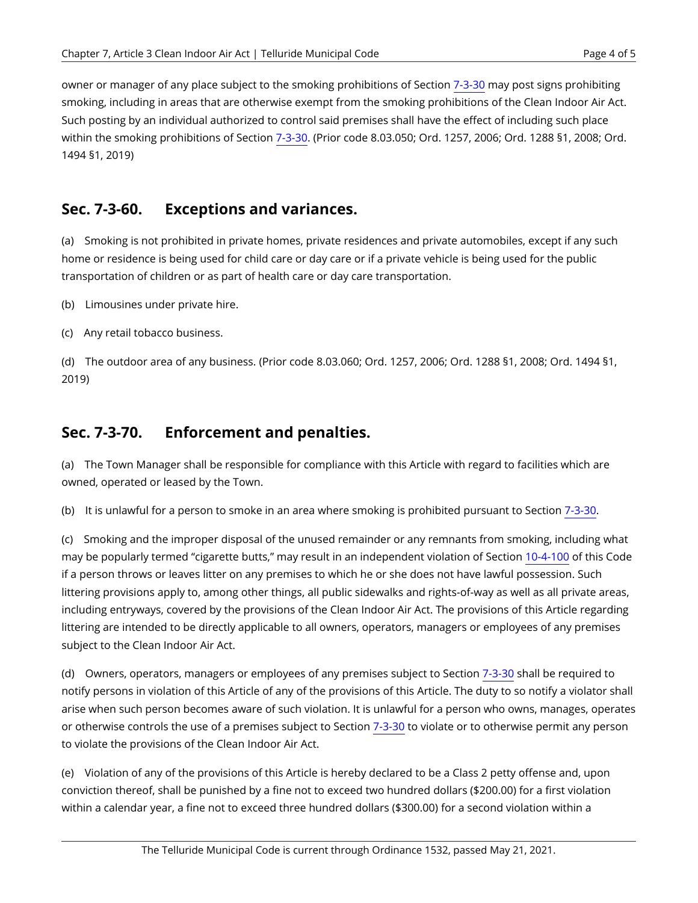owner or manager of any place subject to the smoking prohibitions of Section [7-3-30](#page-2-0) may post signs prohibiting smoking, including in areas that are otherwise exempt from the smoking prohibitions of the Clean Indoor Air Act. Such posting by an individual authorized to control said premises shall have the effect of including such place within the smoking prohibitions of Section [7-3-30.](#page-2-0) (Prior code 8.03.050; Ord. 1257, 2006; Ord. 1288 §1, 2008; Ord. 1494 §1, 2019)

#### <span id="page-3-0"></span>**Sec. 7-3-60. Exceptions and variances.**

(a) Smoking is not prohibited in private homes, private residences and private automobiles, except if any such home or residence is being used for child care or day care or if a private vehicle is being used for the public transportation of children or as part of health care or day care transportation.

(b) Limousines under private hire.

(c) Any retail tobacco business.

(d) The outdoor area of any business. (Prior code 8.03.060; Ord. 1257, 2006; Ord. 1288 §1, 2008; Ord. 1494 §1, 2019)

## **Sec. 7-3-70. Enforcement and penalties.**

(a) The Town Manager shall be responsible for compliance with this Article with regard to facilities which are owned, operated or leased by the Town.

(b) It is unlawful for a person to smoke in an area where smoking is prohibited pursuant to Section [7-3-30](#page-2-0).

(c) Smoking and the improper disposal of the unused remainder or any remnants from smoking, including what may be popularly termed "cigarette butts," may result in an independent violation of Section [10-4-100](https://telluride.municipal.codes/TMC/10-4-100) of this Code if a person throws or leaves litter on any premises to which he or she does not have lawful possession. Such littering provisions apply to, among other things, all public sidewalks and rights-of-way as well as all private areas, including entryways, covered by the provisions of the Clean Indoor Air Act. The provisions of this Article regarding littering are intended to be directly applicable to all owners, operators, managers or employees of any premises subject to the Clean Indoor Air Act.

(d) Owners, operators, managers or employees of any premises subject to Section [7-3-30](#page-2-0) shall be required to notify persons in violation of this Article of any of the provisions of this Article. The duty to so notify a violator shall arise when such person becomes aware of such violation. It is unlawful for a person who owns, manages, operates or otherwise controls the use of a premises subject to Section [7-3-30](#page-2-0) to violate or to otherwise permit any person to violate the provisions of the Clean Indoor Air Act.

(e) Violation of any of the provisions of this Article is hereby declared to be a Class 2 petty offense and, upon conviction thereof, shall be punished by a fine not to exceed two hundred dollars (\$200.00) for a first violation within a calendar year, a fine not to exceed three hundred dollars (\$300.00) for a second violation within a